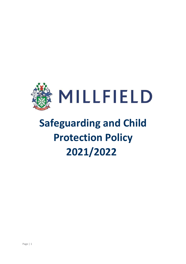

# **Safeguarding and Child Protection Policy 2021/2022**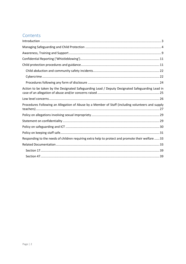# Contents

| Action to be taken by the Designated Safeguarding Lead / Deputy Designated Safeguarding Lead in   |
|---------------------------------------------------------------------------------------------------|
|                                                                                                   |
| Procedures Following an Allegation of Abuse by a Member of Staff (including volunteers and supply |
|                                                                                                   |
|                                                                                                   |
|                                                                                                   |
|                                                                                                   |
| Responding to the needs of children requiring extra help to protect and promote their welfare  33 |
|                                                                                                   |
|                                                                                                   |
|                                                                                                   |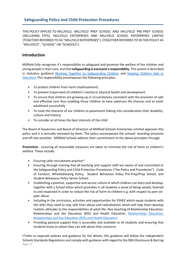# **Safeguarding Policy and Child Protection Procedures**

THIS POLICY APPLIES TO MILLFIELD, MILLFIELD PREP SCHOOL AND MILLFIELD PRE-PREP SCHOOL (INCLUDING EYFS), MILLFIELD ENTERPRISES AND MILLFIELD SCHOOL ENTERPRISES LIMITED (TOGETHER REFERRED TO AS "MILLFIELD ENTERPRISES"), (TOGETHER REFERRED TO IN THIS POLICY AS "MILLFIELD", "SCHOOL" OR "SCHOOLS").

## <span id="page-2-0"></span>**Introduction**

Millfield fully recognises it's responsibility to safeguard and promote the welfare of the children and young people in their care, and that **safeguarding is everyone's responsibility**. This system is described in statutory guidance [Working Together to Safeguarding Children](https://assets.publishing.service.gov.uk/government/uploads/system/uploads/attachment_data/file/779401/Working_Together_to_Safeguard-Children.pdf) and [Keeping Children Safe in](https://assets.publishing.service.gov.uk/government/uploads/system/uploads/attachment_data/file/1014057/KCSIE_2021_September.pdf)  [Education](https://assets.publishing.service.gov.uk/government/uploads/system/uploads/attachment_data/file/1014057/KCSIE_2021_September.pdf) This responsibility encompasses the following principles:

- To protect children from harm (maltreatment)
- To prevent impairment of children's mental or physical health and development
- To ensure that children are growing up in circumstances consistent with the provision of safe and effective care thus enabling those children to have optimum life chances and to enter adulthood successfully
- To treat the interests of our children as paramount (taking into consideration their disability, culture and history)
- To consider at all times the best interests of the child

The Board of Governors and Board of Directors of Millfield Schools Enterprises Limited approves this policy and it is annually reviewed by them. The policy encompasses the schools' boarding provision and off-site activities. Millfield Schools address their commitment to the above principles through:

**Prevention** - ensuring all reasonable measures are taken to minimise the risk of harm to children's welfare. These include:

- Ensuring safer recruitment practice\*
- Ensuring through training that all teaching and support staff are aware of and committed to the Safeguarding Policy and Child Protection Procedures ("the Policy and Procedures") [C](file://///adminfs/Davis.C/Deputy%20Head%20Pastoral/Policies/Staff/Staff%20Code%20of%20Conduct/Child%20Protection%20Code%20of%20Conduct%20for%20Staff%20October%2017%20.pdf)ode of Conduct, Whistleblowing Policy, Student Behaviour Policy Pre-Prep/Prep School, and Student Behaviour Policy Senior School.
- Establishing a positive, supportive and secure culture in which children can learn and develop, together with a School ethos which promotes in all students a sense of being valued, listened to and respected in order to reduce the risk of harm to children e.g. with respect to peer-onpeer abuse
- Including in the curriculum, activities and opportunities for PSHEE which equip students with the skills they need to stay safe from abuse and radicalisation which will help them develop realistic attitudes to the responsibilities of adult life. Also teaching of Relationship Education, Relationships and Sex Education (RSE) and Health Education. [Relationships Education,](https://assets.publishing.service.gov.uk/government/uploads/system/uploads/attachment_data/file/908013/Relationships_Education__Relationships_and_Sex_Education__RSE__and_Health_Education.pdf)  [Relationships and Sex Education \(RSE\) and Health Education.](https://assets.publishing.service.gov.uk/government/uploads/system/uploads/attachment_data/file/908013/Relationships_Education__Relationships_and_Sex_Education__RSE__and_Health_Education.pdf)
- Providing pastoral support that is accessible and available to all students and ensuring that students know to whom they can talk about their concerns.

Page | 3 (\*refer to separate policies and guidance for full details; this guidance will follow the Independent Schools Standards Regulations and comply with guidance with regard to the DBS (Disclosure & Barring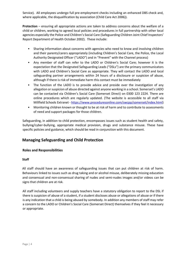Service). All employees undergo full pre-employment checks including an enhanced DBS check and, where applicable, the disqualification by association (Child Care Act 2006)).

**Protection** – ensuring all appropriate actions are taken to address concerns about the welfare of a child or children, working to agreed local policies and procedures in full partnership with other local agencies especially the Police and Children's Social Care (Safeguarding Children Joint Chief Inspectors' Report Department of Health October 2002). These include:

- Sharing information about concerns with agencies who need to know and involving children and their parents/carers appropriately (including Children's Social Care, the Police, the Local Authority Designated Officer ("LADO") and in "Prevent" with the Channel process)
- Any member of staff can refer to the LADO or Children's Social Care; however it is the expectation that the Designated Safeguarding Leads ("DSLs") are the primary communicators with LADO and Children's Social Care as appropriate. They will contact the LADO and local safeguarding partner arrangements within 24 hours of a disclosure or suspicion of abuse, although if there is risk of immediate harm this contact must be immediately
- The function of the LADO is to provide advice and preside over the investigation of any allegation or suspicion of abuse directed against anyone working in a school. Somerset's LADO can be contacted via Children's Social Care (Somerset Direct) on 0300 123 2224. There are online procedures which are regularly updated. (The website is accessible to all staff via Millfield Schools Extranet [-](http://www.swcpp.org.uk/) <https://www.proceduresonline.com/swcpp/somerset/index.html>[\)](http://www.swcpp.org.uk/)
- Monitoring children known or thought to be at risk of harm and to contribute to assessments of need and support packages for those children.

Safeguarding, in addition to child protection, encompasses issues such as student health and safety, bullying/cyber-bullying, appropriate medical provision, drugs and substance misuse. These have specific policies and guidance, which should be read in conjunction with this document.

# <span id="page-3-0"></span>**Managing Safeguarding and Child Protection**

## **Roles and Responsibilities**

#### **Staff**

All staff should have an awareness of safeguarding issues that can put children at risk of harm. Behaviours linked to issues such as drug taking and or alcohol misuse, deliberately missing education and consensual and non-consensual sharing of nudes and semi-nudes images and/or videos can be signs that children are at risk.

All staff including volunteers and supply teachers have a statutory obligation to report to the DSL if there is suspicion of abuse of a student, if a student discloses abuse or allegations of abuse or if there is any indication that a child is being abused by somebody. In addition any members of staff may refer a concern to the LADO or Children's Social Care (Somerset Direct) themselves if they feel it necessary or appropriate.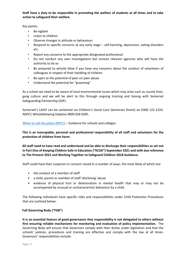**Staff have a duty to be responsible in promoting the welfare of students at all times and to take action to safeguard their welfare.** 

Key points:

- Be vigilant
- Listen to children
- Observe changes in attitude or behaviours
- Respond to specific concerns at any early stage self-harming, depression, eating disorders etc.
- Report any concerns to the appropriate designated professional
- Do not conduct any own investigations but contact relevant agencies who will have the authority to do so
- Be prepared to whistle blow if you have any concerns about the conduct of volunteers of colleagues in respect of their handling of children
- Be open to the potential of peer on peer abuse
- Understand the potential for "grooming"

As a school we need to be aware of local environmental issues which may arise such as county lines, gang culture and we will be alert to this through ongoing training and liaising with Somerset Safeguarding Partnership (SSP).

Somerset's LADO can be contacted via Children's Social Care (Somerset Direct) on 0300 123 2224. NSPCC Whistleblowing Helpline 0800 028 0285.

[When to call the police \(NPCC\)](https://www.npcc.police.uk/documents/Children%20and%20Young%20people/When%20to%20call%20the%20police%20guidance%20for%20schools%20and%20colleges.pdf) – Guidance for schools and colleges.

**This is an inescapable, personal and professional responsibility of all staff and volunteers for the protection of children from harm.** 

**All staff need to have read and understood and be able to discharge their responsibilities as set out in Part One of Keeping Children Safe in Education ("KCSIE") September 2021 and with due reference to The Prevent 2015 and Working Together to Safeguard Children 2018 Guidance.** 

Staff could have their suspicion or concern raised in a number of ways, the most likely of which are:

- the conduct of a member of staff
- a child, parent or member of staff 'disclosing' abuse
- evidence of physical hurt or deterioration in mental health that may or may not be accompanied by unusual or uncharacteristic behaviour by a child.

The following individuals have specific roles and responsibilities under Child Protection Procedures that are outlined below:

## **Full Governing Body ("FGB")**

**It is an essential feature of good governance that responsibility is not delegated to others without first ensuring reliable mechanisms for monitoring and evaluation of policy implementation.** The Governing Body will ensure that Governors comply with their duties under legislation and that the schools' policies, procedures and training are effective and comply with the law at all times. Governors' responsibilities include: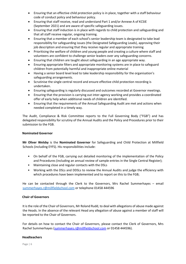- Ensuring that an effective child protection policy is in place, together with a staff behaviour code of conduct policy and behaviour policy.
- Ensuring that staff receive, read and understand Part 1 and/or Annexe A of KCSIE (September 2021) and are aware of specific safeguarding issues.
- Ensuring that staff induction is in place with regards to child protection and safeguarding and that all staff receive regular, ongoing training.
- Ensuring that a member of each school's senior leadership team is designated to take lead responsibility for safeguarding issues (the Designated Safeguarding Leads), approving their job description and ensuring that they receive regular and appropriate training
- Prioritising the welfare of children and young people and creating a culture where staff and volunteers are confident to challenge senior leaders over any safeguarding concerns.
- Ensuring that children are taught about safeguarding in an age appropriate way.
- Ensuring appropriate filters and appropriate monitoring systems are in place to safeguard children from potentially harmful and inappropriate online material
- Having a senior board level lead to take leadership responsibility for the organisation's safeguarding arrangements.
- Scrutinise the single central record and ensure effective child protection recording is undertaken.
- Ensuring safeguarding is regularly discussed and outcomes recorded at Governor meetings.
- Ensuring that the provision is carrying out inter-agency working and provides a coordinated offer of early help when additional needs of children are identified.
- Ensuring that the requirements of the Annual Safeguarding Audit are met and actions when needed completed in a timely way.

The Audit, Compliance & Risk Committee reports to the Full Governing Body ("FGB") and has delegated responsibility for scrutiny of the Annual Audits and the Policy and Procedures prior to their submission to the FGB.

#### **Nominated Governor**

**Mr Oliver Welsby** is the **Nominated Governor** for Safeguarding and Child Protection at Millfield Schools (including EYFS). His responsibilities include:

- On behalf of the FGB, carrying out detailed monitoring of the implementation of the Policy and Procedures (including an annual review of sample entries in the Single Central Register);
- Maintaining close and regular contacts with the DSLs
- Working with the DSLs and DDSLs to review the Annual Audits and judge the efficiency with which procedures have been implemented and to report on this to the FGB;

He can be contacted through the Clerk to the Governors, Mrs Rachel Summerhayes – email [summerhayes.r@millfieldschool.com](mailto:summerhayes.r@millfieldschool.com) or telephone 01458 444596

#### **Chair of Governors**

It is the role of the Chair of Governors, Mr Roland Rudd, to deal with allegations of abuse made against the Heads. In the absence of the relevant Head any allegation of abuse against a member of staff will be reported to the Chair of Governors.

For details on how to contact the Chair of Governors, please contact the Clerk of Governors, Mrs Rachel Summerhayes (summerhayes.r@millfieldschool.com or 01458 444596).

#### **Headteachers**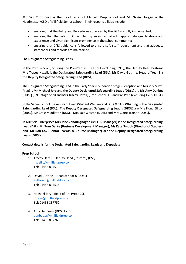**Mr Dan Thornburn** is the Headmaster of Millfield Prep School and **Mr Gavin Horgan** is the Headmaster/CEO of Millfield Senior School. Their responsibilities include:

- ensuring that the Policy and Procedures approved by the FGB are fully implemented;
- ensuring that the role of DSL is filled by an individual with appropriate qualifications and experience and given significant prominence in the school community;
- ensuring that DfES guidance is followed to ensure safe staff recruitment and that adequate staff checks and records are maintained.

#### **The Designated Safeguarding Leads**

In the Prep School (including the Pre-Prep as DDSL, but excluding EYFS), the Deputy Head Pastoral, **Mrs Tracey Hazell**, is the **Designated Safeguarding Lead (DSL)**. **Mr David Guthrie, Head of Year 8** is the **Deputy Designated Safeguarding Lead (DDSL)**.

The **Designated Safeguarding Lead** in the Early Years Foundation Stage (Reception and Nursery & Pre-Prep) is **Mr Michael Jory** and the **Deputy Designated Safeguarding Leads (DDSL)** are **Ms Amy Denbee (DDSL)** (EYFS stage only) and **Mrs Tracey Hazell, (**Prep School DSL and Pre-Prep (excluding EYFS) **DDSL).**

In the Senior School the Assistant Head (Student Welfare and DSL) **Mr Adi Whatling**, is the **Designated Safeguarding Lead (DSL)**. The **Deputy Designated Safeguarding Lead's (DDSL)** are Mrs Fiona Ellison **(DDSL)**, Mr Craig Middleton (**DDSL**), Mrs Kait Weston **(DDSL)** and Mrs Claire Trainor **(DDSL).**

In Millfield Enterprises **Mrs Jane Zohoungbogbo (MELHC Manager)** is the **Designated Safeguarding Lead (DSL)**. **Mr Tom Darke (Business Development Manager), Ms Kate Smook (Director of Studies)**  and **Mr Rob Cox (Senior Events & Course Manager)** are the **Deputy Designated Safeguarding Leads (DDSLs)**.

#### **Contact details for the Designated Safeguarding Leads and Deputies:**

#### **Prep School**

- 1. Tracey Hazell Deputy Head (Pastoral) (DSL) [hazell.t@millfieldprep.com](mailto:hazell.t@millfieldprep.com) Tel: 01458 837510
- 2. David Guthrie Head of Year 8 (DDSL) [guthrie.d@millfieldprep.com](mailto:guthrie.d@millfieldprep.com) Tel: 01458 837515
- 3. Michael Jory Head of Pre Prep (DSL) [jory.m@millfieldprep.com](mailto:jory.m@millfieldprep.com) Tel: 01458 837752
- 4. Amy Denbee (DDSL EYFS) [denbee.a@millfieldprep.com](mailto:denbee.a@millfieldprep.com) Tel: 01458 837760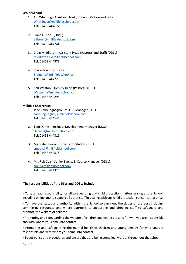#### **Senior School**

- 1. Adi Whatling Assistant Head (Student Welfare and DSL) [Whatling.a@millfieldschool.com](mailto:Whatling.a@millfieldschool.com) Tel: 01458 444622
- 2. Fiona Ellison (DDSL) [ellison.f@millfieldschool.com](mailto:ellison.f@millfieldschool.com) Tel: 01458 444244
- 3. Craig Middleton Assistant Head (Pastoral and Staff) (DDSL) [middleton.c@millfieldschool.com](mailto:middleton.c@millfieldschool.com) Tel: 01458 444378
- 4. Claire Trainor- (DDSL) [Trainor.c@millfieldschool.com](mailto:Trainor.c@millfieldschool.com) Tel: 01458 444228
- 5. Kait Weston Deputy Head (Pastoral) (DDSL) [Weston.k@millfieldschool.com](mailto:Weston.k@millfieldschool.com) Tel: 01458 444295

#### **Millfield Enterprises**

- 1. Jane Zohoungbogbo MELHC Manager (DSL) [zohoungbogbo.j@millfieldschool.com](mailto:zohoungbogbo.j@millfieldschool.com) Tel: 01458 444544
- 2. Tom Darke Business Development Manager (DDSL) [Darke.t@millfieldschool.com](mailto:Darke.t@millfieldschool.com) Tel: 01458 444319
- 3. Ms. Kate Smook Director of Studies (DDSL) [smook.k@millfieldschool.com](mailto:smook.k@millfieldschool.com) Tel: 01458 444518
- 4. Mr. Rob Cox Senior Events & Course Manager (DDSL) [cox.r@millfieldschool.com](mailto:cox.r@millfieldschool.com) Tel: 01458 444328

#### **The responsibilities of the DSLs and DDSLs include:**

• To take lead responsibility for all safeguarding and child protection matters arising at the School, including online and to support all other staff in dealing with any child protection concerns that arise.

• To have the status and authority within the School to carry out the duties of the post including committing resources, and where appropriate, supporting and directing staff to safeguard and promote the welfare of children

• Promoting and safeguarding the welfare of children and young persons for who you are responsible and with whom you come into contact.

• Promoting and safeguarding the mental health of children and young persons for who you are responsible and with whom you come into contact.

• To set policy and procedures and ensure they are being complied without throughout the school.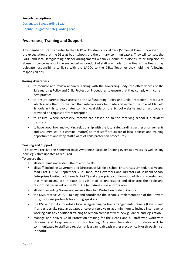#### **See job descriptions:**

[Designated Safeguarding Lead](https://xtranet.millfieldschool.net/Resources/Pastoral%20%5BFd5%5D/Assistant%20Head%20(Pastoral)%20%5BFd6%5D/Staff/Job%20descriptions/HOUSING%20JOB%20DESCRIPTIONS/Designated%20Safeguarding%20Lead.pdf) [Deputy Designated Safeguarding Lead](https://xtranet.millfieldschool.net/Resources/Pastoral%20%5BFd5%5D/Assistant%20Head%20(Pastoral)%20%5BFd6%5D/Staff/Job%20descriptions/HOUSING%20JOB%20DESCRIPTIONS/Deputy%20Designated%20Safeguarding%20Lead.pdf)

# <span id="page-8-0"></span>**Awareness, Training and Support**

Any member of staff can refer to the LADO or Children's Social Care (Somerset Direct); however it is the expectation that the DSLs at both schools are the primary communicators. They will contact the LADO and local safeguarding partner arrangements within 24 hours of a disclosure or suspicion of abuse. If concerns about the suspected misconduct of staff are made to the Heads, the Heads may delegate responsibility to liaise with the LADOs to the DSLs. Together they hold the following responsibilities:

#### **Raising Awareness:**

- to monitor and review annually, liaising with the Governing Body, the effectiveness of the Safeguarding Policy and Child Protection Procedures to ensure that they comply with current best practice
- to ensure parents have access to the Safeguarding Policy and Child Protection Procedures which alerts them to the fact that referrals may be made and explain the role of Millfield Schools in this to avoid later conflict. Available on the School website and a hard copy is provided on request or from reception
- to ensure, where necessary, records are passed on to the receiving school if a student transfers.
- to have good links and working relationship with the local safeguarding partner arrangements and LADO/Police (if a criminal matter) so that staff are aware of local policies and training opportunities and keep staff aware of child protection procedures.

## **Training and Support:**

All staff will receive the Somerset Basic Awareness Cascade Training every two years as well as any new legislative updates as required.

To ensure that:

- all staff, must understand the role of the DSL
- all staff, including Governors and Directors of Millfield School Enterprises Limited, receive and read Part 1 KCSIE September 2021 (and, for Governors and Directors of Millfield School Enterprises Limited, additionally Part 2) and appropriate confirmation of this is recorded and that mechanisms are in place to assist staff to understand and discharge their role and responsibilities as set out in Part One (and Annex B as appropriate)
- all staff, including Governors, receive the Child Protection Code of Conduct
- the DSLs receive WRAP Training and coordinate the school's implementation of the Prevent Duty, including protocols for visiting speakers
- the DSL and DDSLs undertake local safeguarding partner arrangements training (Levels I and II) and undertake regular updates once every **two** years as a minimum to include inter-agency working plus any additional training to remain compliant with new guidance and legislation
- manage and deliver Child Protection training for the Heads and all staff who work with children, and keep records of this training. Any new legislation or updates will be communicated to staff on a regular (at least annual) basis either electronically or through Inset (or both).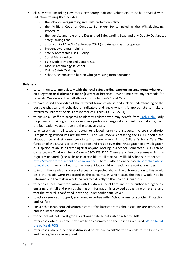- all new staff, including Governors, temporary staff and volunteers, must be provided with induction training that includes:
	- o the school's Safeguarding and Child Protection Policy
	- o the Millfield Code of Conduct, Behaviour Policy including the Whistleblowing Procedure
	- o the identity and role of the Designated Safeguarding Lead and any Deputy Designated Safeguarding Lead
	- o a copy of Part 1 KCSIE September 2021 (and Annex B as appropriate)
	- o Prevent awareness training
	- o Safe & Acceptable Use IT Polic[y](https://xtranet.millfieldschool.net/Resources/Documents%20%5BFj8%5D/School%20Policies%20%5BFj9%5D/Pupils%20Senior/Pupil%20safe%20and%20acceptable%20ICT%20use%20Policy%20Sept%202017.docx.pdf)
	- o Social Media Policy
	- o EYFS Mobile Phone and Camera Use
	- o Mobile Technology in School
	- o Online Safety Training
	- o Schools Response to Children who go missing from Education

#### **Referrals**

- to communicate immediately with **the local safeguarding partners arrangements whenever an allegation or disclosure is made (current or historical**). We do not have any threshold for referrals. We always direct all allegations to Children's Social Care
- to have sound knowledge of the different forms of abuse and a clear understanding of the possible physical and behavioural indicators and know when it is appropriate to make a referral to Children's Social Care (Somerset Direct 0300 123 2224)
- to ensure all staff are prepared to identify children who may benefit from [Early Help.](http://professionalchoices.org.uk/eha/) Early Help means providing support as soon as a problem emerges at any point in a child's life, from the foundation years through to the teenage years.
- to ensure that in all cases of actual or alleged harm to a student, the Local Authority Safeguarding Procedures are followed. This will involve contacting the LADO, should the allegation be against a member of staff, otherwise referring to Children's Social Care. The function of the LADO is to provide advice and preside over the investigation of any allegation or suspicion of abuse directed against anyone working in a school. Somerset's LADO can be contacted via Children's Social Care on 0300 123 2224. There are online procedures which are regularly updated. (The website is accessible to all staff via Millfield Schools Intranet site <https://www.proceduresonline.com/swcpp/>[\).](http://www.swcpp.org.uk/) There is also an online tool Report child abuse [to local council](https://www.gov.uk/report-child-abuse-to-local-council) which directs to the relevant local children's social care contact number.
- to inform the Heads of all cases of actual or suspected abuse. The only exception to this would be if the Heads were implicated in the concerns, in which case, the Head would not be informed and the matter would be referred directly to the Chair of Governors.
- to act as a focal point for liaison with Children's Social Care and other authorised agencies, ensuring that full and prompt sharing of information is provided at the time of referral and that the referral is confirmed in writing under confidential cover
- to act as a source of support, advice and expertise within School on matters of Child Protection and welfare
- ensure that clear, detailed written records of welfare concerns about students are kept secure and in a locked location
- the school will not investigate allegations of abuse but instead refer to LADO. refer cases where a crime may have been committed to the Police as required. [When to call](https://www.npcc.police.uk/documents/Children%20and%20Young%20people/When%20to%20call%20the%20police%20guidance%20for%20schools%20and%20colleges.pdf)  [the police \(NPCC\)](https://www.npcc.police.uk/documents/Children%20and%20Young%20people/When%20to%20call%20the%20police%20guidance%20for%20schools%20and%20colleges.pdf)
- refer cases where a person is dismissed or left due to risk/harm to a child to the Disclosure and Barring Service as required.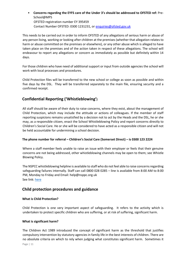• **Concerns regarding the EYFS care of the Under 3's should be addressed to OFSTED ref:** Pre-School@MPS OFSTED registration number EY 395459 Contact Number OFSTED: 0300 1231231, or enquiries@ofsted.gov.uk

This needs to be carried out in order to inform OFSTED of any allegations of serious harm or abuse of any person living, working or looking after children at the premises (whether that allegation relates to harm or abuse committed on the premises or elsewhere), or any other abuse which is alleged to have taken place on the premises and of the action taken in respect of these allegations. The school will endeavour to report any allegations or concern as immediately as possible but definitely within 14 days.

For those children who have need of additional support or input from outside agencies the school will work with local processes and procedures.

Child Protection files will be transferred to the new school or college as soon as possible and within five days by the DSL. They will be transferred separately to the main file, ensuring security and a confirmed receipt.

# <span id="page-10-0"></span>**Confidential Reporting ('Whistleblowing')**

All staff should be aware of their duty to raise concerns, where they exist, about the management of Child Protection, which may include the attitude or actions of colleagues. If the member of staff reporting suspicions remains unsatisfied by a decision not to act by the Heads and the DSL, he or she may, as a responsible citizen, enact the School Whistleblowing Policy and report concerns directly to Children's Social Care. He or she will be considered to have acted as a responsible citizen and will not be held accountable for undermining a school decision.

## **The phone number for referral – Children's Social Care (Somerset Direct) – is 0300 123 2224**

Where a staff member feels unable to raise an issue with their employer or feels that their genuine concerns are not being addressed, other whistleblowing channels may be open to them; see [Whistle](https://xtranet.millfieldschool.net/Resources/Documents%20%5BFj8%5D/School%20Policies%20%5BFj9%5D/Staff/Whistle%20Blowing%20Policy.pdf) Blowing Polic[y.](https://xtranet.millfieldschool.net/Resources/Documents%20%5BFj8%5D/School%20Policies%20%5BFj9%5D/Staff/Whistle%20Blowing%20Policy.pdf)

The NSPCC whistleblowing helpline is available to staff who do not feel able to raise concerns regarding safeguarding failures internally. Staff can call 0800 028 0285 – line is available from 8:00 AM to 8:00 PM, Monday to Friday and Email: help@nsppc.org.uk See link: [here](https://www.nspcc.org.uk/what-you-can-do/report-abuse/dedicated-helplines/whistleblowing-advice-line/)

# <span id="page-10-1"></span>**Child protection procedures and guidance**

## **What is Child Protection?**

Child Protection is one very important aspect of safeguarding. It refers to the activity which is undertaken to protect specific children who are suffering, or at risk of suffering, significant harm.

## **What is significant harm?**

The Children Act 1989 introduced the concept of significant harm as the threshold that justifies compulsory intervention by statutory agencies in family life in the best interests of children. There are no absolute criteria on which to rely when judging what constitutes significant harm. Sometimes it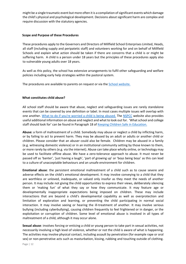might be a single traumatic event but more often it is a compilation of significant events which damage the child's physical and psychological development. Decisions about significant harm are complex and require discussion with the statutory agencies.

#### **Scope and Purpose of these Procedures**

These procedures apply to the Governors and Directors of Millfield School Enterprises Limited, Heads, all staff (including supply and peripatetic staff) and volunteers working for and on behalf of Millfield Schools and explain what action should be taken if there are concerns that a child is or might be suffering harm. A child is a person under 18 years but the principles of these procedures apply also to vulnerable young adults over 18 years.

As well as this policy, the school has extensive arrangements to fulfil other safeguarding and welfare policies including early help strategies within the pastoral system.

The procedures are available to parents on request or via th[e School website.](https://www.millfieldschool.com/discover-brilliance/pastoral-care)

#### **What constitutes child abuse?**

All school staff should be aware that abuse, neglect and safeguarding issues are rarely standalone events that can be covered by one definition or label. In most cases multiple issues will overlap with one another. [What to do if you're worried a child is being abused.](https://assets.publishing.service.gov.uk/government/uploads/system/uploads/attachment_data/file/419604/What_to_do_if_you_re_worried_a_child_is_being_abused.pdf) The [NSPCC](https://www.nspcc.org.uk/) website also provides useful additional information on abuse and neglect and what to look out for. 'What school and college staff should look for' can be found in Paragraph 18 o[f Keeping Children Safe in Education.](https://assets.publishing.service.gov.uk/government/uploads/system/uploads/attachment_data/file/1014057/KCSIE_2021_September.pdf)

**Abuse:** a form of maltreatment of a child. Somebody may abuse or neglect a child by inflicting harm, or by failing to act to prevent harm. They may be abused by an adult or adults or another child or children. Please consider that an abuser could also be female. Children may be abused in a family (e.g. witnessing domestic violence) or in an institutional community setting by those known to them, or more rarely by others (e.g. via the internet). Abuse can take place wholly online, or technology may be used to facilitate offline abuse. We have a zero-tolerance approach to abuse. It must never be passed off as 'banter', 'just having a laugh', 'part of growing up' or 'boys being boys' as this can lead to a culture of unacceptable behaviours and an unsafe environment for children.

**Emotional abuse**: the persistent emotional maltreatment of a child such as to cause severe and adverse effects on the child's emotional development. It may involve conveying to a child that they are worthless or unloved, inadequate, or valued only insofar as they meet the needs of another person. It may include not giving the child opportunities to express their views, deliberately silencing them or 'making fun' of what they say or how they communicate. It may feature age or developmentally inappropriate expectations being imposed on children. These may include interactions that are beyond a child's developmental capability as well as overprotection and limitation of exploration and learning, or preventing the child participating in normal social interaction. It may involve seeing or hearing the ill-treatment of another. It may involve serious bullying (including cyberbullying), causing children frequently to feel frightened or in danger, or the exploitation or corruption of children. Some level of emotional abuse is involved in all types of maltreatment of a child, although it may occur alone.

**Sexual abuse**: involves forcing or enticing a child or young person to take part in sexual activities, not necessarily involving a high level of violence, whether or not the child is aware of what is happening. The activities may involve physical contact, including assault by penetration (for example rape or oral sex) or non-penetrative acts such as masturbation, kissing, rubbing and touching outside of clothing.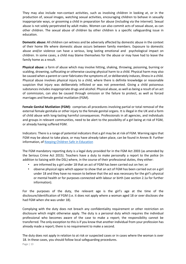They may also include non-contact activities, such as involving children in looking at, or in the production of, sexual images, watching sexual activities, encouraging children to behave in sexually inappropriate ways, or grooming a child in preparation for abuse (including via the internet). Sexual abuse is not solely perpetrated by adult males. Women can also commit acts of sexual abuse, as can other children. The sexual abuse of children by other children is a specific safeguarding issue in education.

**Domestic abuse:** All children can witness and be adversely affected by domestic abuse in the context of their home life where domestic abuse occurs between family members. Exposure to domestic abuse and/or violence can have a serious, long lasting emotional and psychological impact on children. In some cases, a child may blame themselves for the abuse or may have had to leave the family home as a result.

**Physical abuse:** a form of abuse which may involve hitting, shaking, throwing, poisoning, burning or scalding, drowning, suffocating or otherwise causing physical harm to a child. Physical harm may also be caused when a parent or carer fabricates the symptoms of, or deliberately induces, illness in a child. Physical abuse involves physical injury to a child, where there is definite knowledge or reasonable suspicion that injury was deliberately inflicted or was not prevented. Giving a child poisonous substances includes inappropriate drugs and alcohol. Physical abuse, as well as being a result of an act of commission, can also be caused through omission or the failure to protect, as well as forced marriages and female genital mutilation (FGM).

**Female Genital Mutilation (FGM):** comprises all procedures involving partial or total removal of the external female genitalia or other injury to the female genital organs. It is illegal in the UK and a form of child abuse with long-lasting harmful consequences. Professionals in all agencies, and individuals and groups in relevant communities, need to be alert to the possibility of a girl being at risk of FGM, or already having suffered FGM.

Indicators: There is a range of potential indicators that a girl may be at risk of FGM. Warning signs that FGM may be about to take place, or may have already taken place, can be found in Annex B: Further information, of [Keeping Children Safe in Education](https://assets.publishing.service.gov.uk/government/uploads/system/uploads/attachment_data/file/1014057/KCSIE_2021_September.pdf)

The FGM mandatory reporting duty is a legal duty provided for in the FGM Act 2003 (as amended by the Serious Crime Act 2015). Teachers have a duty to make personally a report to the police (in addition to liaising with the DSL) where, in the course of their professional duties, they either:

- are informed by a girl under 18 that an act of FGM has been carried out on her; or
- observe physical signs which appear to show that an act of FGM has been carried out on a girl under 18 and they have no reason to believe that the act was necessary for the girl's physical or mental health or for purposes connected with labour or birth (see section 2.1a for further information).

For the purposes of the duty, the relevant age is the girl's age at the time of the disclosure/identification of FGM (i.e. it does not apply where a woman aged 18 or over discloses she had FGM when she was under 18).

Complying with the duty does not breach any confidentiality requirement or other restriction on disclosure which might otherwise apply. The duty is a personal duty which requires the individual professional who becomes aware of the case to make a report; the responsibility cannot be transferred. The only exception to this is if you know that another individual from your profession has already made a report; there is no requirement to make a second.

The duty does not apply in relation to at risk or suspected cases or in cases where the woman is over 18. In these cases, you should follow local safeguarding procedures.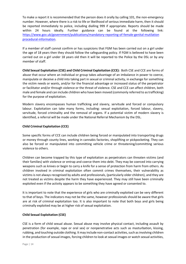To make a report it is recommended that the person does it orally by calling 101, the non-emergency number. However, where there is a risk to life or likelihood of serious immediate harm, then it should be reported immediately to police, including dialling 999 if appropriate. Reports should be made within 24 hours ideally. Further guidance can be found at the following link: [https://www.gov.uk/government/publications/mandatory-reporting-of-female-genital-mutilation](https://www.gov.uk/government/publications/mandatory-reporting-of-female-genital-mutilation-procedural-information) [procedural-information.](https://www.gov.uk/government/publications/mandatory-reporting-of-female-genital-mutilation-procedural-information)

If a member of staff cannot confirm or has suspicions that FGM has been carried out on a girl under the age of 18 years then they should follow the safeguarding policy. If FGM is believed to have been carried out on a girl under 18 years old then it will be reported to the Police by the DSL or by any member of staff.

**Child Sexual Exploitation (CSE) and Child Criminal Exploitation (CCE):** Both CSE and CCE are forms of abuse that occur where an individual or group takes advantage of an imbalance in power to coerce, manipulate or deceive a child into taking part in sexual or criminal activity, in exchange for something the victim needs or wants, and/or for the financial advantage or increased status of the perpetrator or facilitator and/or through violence or the threat of violence. CSE and CCE can affect children, both male and female and can include children who have been moved (commonly referred to as trafficking) for the purpose of exploitation.

Modern slavery encompasses human trafficking and slavery, servitude and forced or compulsory labour. Exploitation can take many forms, including: sexual exploitation, forced labour, slavery, servitude, forced criminality and the removal of organs. If a potential victim of modern slavery is identified, a referral will be made under the National Referral Mechanism by the DSL.

## **Child Criminal Exploitation (CCE)**

Some specific forms of CCE can include children being forced or manipulated into transporting drugs or money through county lines, working in cannabis factories, shoplifting or pickpocketing. They can also be forced or manipulated into committing vehicle crime or threatening/committing serious violence to others.

Children can become trapped by this type of exploitation as perpetrators can threaten victims (and their families) with violence or entrap and coerce them into debt. They may be coerced into carrying weapons such as knives or begin to carry a knife for a sense of protection from harm from others. As children involved in criminal exploitation often commit crimes themselves, their vulnerability as victims is not always recognised by adults and professionals, (particularly older children), and they are not treated as victims despite the harm they have experienced. They may still have been criminally exploited even if the activity appears to be something they have agreed or consented to.

It is important to note that the experience of girls who are criminally exploited can be very different to that of boys. The indicators may not be the same, however professionals should be aware that girls are at risk of criminal exploitation too. It is also important to note that both boys and girls being criminally exploited may be at higher risk of sexual exploitation.

## **Child Sexual Exploitation (CSE)**

CSE is a form of child sexual abuse. Sexual abuse may involve physical contact, including assault by penetration (for example, rape or oral sex) or nonpenetrative acts such as masturbation, kissing, rubbing, and touching outside clothing. It may include non-contact activities, such as involving children in the production of sexual images, forcing children to look at sexual images or watch sexual activities,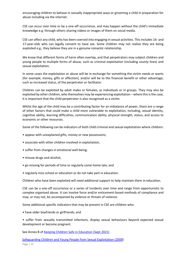encouraging children to behave in sexually inappropriate ways or grooming a child in preparation for abuse including via the internet.

CSE can occur over time or be a one-off occurrence, and may happen without the child's immediate knowledge e.g. through others sharing videos or images of them on social media.

CSE can affect any child, who has been coerced into engaging in sexual activities. This includes 16- and 17-year-olds who can legally consent to have sex. Some children may not realise they are being exploited e.g., they believe they are in a genuine romantic relationship.

We know that different forms of harm often overlap, and that perpetrators may subject children and young people to multiple forms of abuse, such as criminal exploitation (including county lines) and sexual exploitation.

In some cases the exploitation or abuse will be in exchange for something the victim needs or wants (for example, money, gifts or affection), and/or will be to the financial benefit or other advantage, such as increased status, of the perpetrator or facilitator.

Children can be exploited by adult males or females, as individuals or in groups. They may also be exploited by other children, who themselves may be experiencing exploitation – where this is the case, it is important that the child perpetrator is also recognised as a victim.

Whilst the age of the child may be a contributing factor for an imbalance of power, there are a range of other factors that could make a child more vulnerable to exploitation, including, sexual identity, cognitive ability, learning difficulties, communication ability, physical strength, status, and access to economic or other resources.

Some of the following can be indicators of both child criminal and sexual exploitation where children:

- appear with unexplained gifts, money or new possessions;
- associate with other children involved in exploitation;
- suffer from changes in emotional well-being;
- misuse drugs and alcohol;
- go missing for periods of time or regularly come home late; and
- regularly miss school or education or do not take part in education.

Children who have been exploited will need additional support to help maintain them in education.

CSE can be a one-off occurrence or a series of incidents over time and range from opportunistic to complex organised abuse. It can involve force and/or enticement-based methods of compliance and may, or may not, be accompanied by violence or threats of violence.

Some additional specific indicators that may be present in CSE are children who:

• have older boyfriends or girlfriends; and

• suffer from sexually transmitted infections, display sexual behaviours beyond expected sexual development or become pregnant.

See Annex B o[f Keeping Children Safe in Education \(Sept 2021\)](https://assets.publishing.service.gov.uk/government/uploads/system/uploads/attachment_data/file/1007260/Keeping_children_safe_in_education_2021.pdf)

[Safeguarding Children and Young People from Sexual Exploitation \(2009\)](https://www.gov.uk/government/uploads/system/uploads/attachment_data/file/278849/Safeguarding_Children_and_Young_People_from_Sexual_Exploitation.pdf)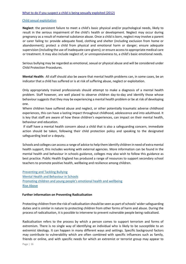#### [Child sexual exploitation](https://assets.publishing.service.gov.uk/government/uploads/system/uploads/attachment_data/file/591903/CSE_Guidance_Core_Document_13.02.2017.pdf)

**Neglect**: the persistent failure to meet a child's basic physical and/or psychological needs, likely to result in the serious impairment of the child's health or development. Neglect may occur during pregnancy as a result of maternal substance abuse. Once a child is born, neglect may involve a parent or carer failing to: provide adequate food, clothing and shelter (including exclusion from home or abandonment); protect a child from physical and emotional harm or danger; ensure adequate supervision (including the use of inadequate care-givers); or ensure access to appropriate medical care or treatment. It may also include neglect of, or unresponsiveness to, a child's basic emotional needs.

Serious bullying may be regarded as emotional, sexual or physical abuse and will be considered under Child Protection Procedures.

**Mental Health:** All staff should also be aware that mental health problems can, in some cases, be an indicator that a child has suffered or is at risk of suffering abuse, neglect or exploitation.

Only appropriately trained professionals should attempt to make a diagnosis of a mental health problem. Staff however, are well placed to observe children day-to-day and identify those whose behaviour suggests that they may be experiencing a mental health problem or be at risk of developing one.

Where children have suffered abuse and neglect, or other potentially traumatic adverse childhood experiences, this can have a lasting impact throughout childhood, adolescence and into adulthood. It is key that staff are aware of how these children's experiences, can impact on their mental health, behaviour and education.

If staff have a mental health concern about a child that is also a safeguarding concern, immediate action should be taken, following their child protection policy and speaking to the designated safeguarding lead or a deputy.

Schools and colleges can access a range of advice to help them identify children in need of extra mental health support, this includes working with external agencies. More information can be found in the mental health and behaviour in schools guidance, colleges may also wish to follow this guidance as best practice. Public Health England has produced a range of resources to support secondary school teachers to promote positive health, wellbeing and resilience among children.

[Preventing and Tackling Bullying](https://assets.publishing.service.gov.uk/government/uploads/system/uploads/attachment_data/file/623895/Preventing_and_tackling_bullying_advice.pdf) [Mental Health and Behaviour in Schools](https://assets.publishing.service.gov.uk/government/uploads/system/uploads/attachment_data/file/755135/Mental_health_and_behaviour_in_schools__.pdf) [Promoting children and young people's emotional health and wellbeing](https://assets.publishing.service.gov.uk/government/uploads/system/uploads/attachment_data/file/414908/Final_EHWB_draft_20_03_15.pdf) [Rise Above](https://campaignresources.phe.gov.uk/schools/topics/rise-above/overview)

#### **Further information on Preventing Radicalisation**

Protecting children from the risk of radicalisation should be seen as part of schools' wider safeguarding duties and is similar in nature to protecting children from other forms of harm and abuse. During the process of radicalisation, it is possible to intervene to prevent vulnerable people being radicalised.

Radicalisation refers to the process by which a person comes to support terrorism and forms of extremism. There is no single way of identifying an individual who is likely to be susceptible to an extremist ideology. It can happen in many different ways and settings. Specific background factors may contribute to vulnerability which are often combined with specific influences such as family, friends or online, and with specific needs for which an extremist or terrorist group may appear to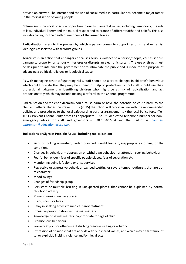provide an answer. The internet and the use of social media in particular has become a major factor in the radicalisation of young people.

**Extremism** is the vocal or active opposition to our fundamental values, including democracy, the rule of law, individual liberty and the mutual respect and tolerance of different faiths and beliefs. This also includes calling for the death of members of the armed forces.

**Radicalisation** refers to the process by which a person comes to support terrorism and extremist ideologies associated with terrorist groups.

**Terrorism** is an action that endangers or causes serious violence to a person/people; causes serious damage to property; or seriously interferes or disrupts an electronic system. The use or threat must be designed to influence the government or to intimidate the public and is made for the purpose of advancing a political, religious or ideological cause.

As with managing other safeguarding risks, staff should be alert to changes in children's behaviour which could indicate that they may be in need of help or protection. School staff should use their professional judgement in identifying children who might be at risk of radicalisation and act proportionately which may include making a referral to the Channel programme.

Radicalisation and violent extremism could cause harm or have the potential to cause harm to the child and others. Under the Prevent Duty (2015) the school will report in line with the recommended policies and procedures to the local safeguarding partner arrangements / the local Police force (Tel: 101) / Prevent Channel duty offices as appropriate. The DfE dedicated telephone number for non– emergency advice for staff and governors is 0207 3407264 and the mailbox is: [counter](mailto:counter-extremism@education.gsi.gov.uk)[extremism@education.gsi.gov.uk.](mailto:counter-extremism@education.gsi.gov.uk)

#### **Indications or Signs of Possible Abuse, including radicalisation:**

- Signs of looking unwashed, undernourished, weight loss etc; inappropriate clothing for the conditions
- Changes in behaviour depression or withdrawn behaviour or attention seeking behaviour
- Fearful behaviour fear of specific people places, fear of separation etc.
- Mentioning being left alone or unsupervised
- Regressive or aggressive behaviour e.g. bed-wetting or severe temper outbursts that are out of character
- Mood swings
- Changes of friendship group
- Persistent or multiple bruising in unexpected places, that cannot be explained by normal childhood activity
- Minor injuries in unlikely places
- Burns, scalds or bites
- Delay in seeking access to medical care/treatment
- Excessive preoccupation with sexual matters
- Knowledge of sexual matters inappropriate for age of child
- Promiscuous behaviour
- Sexually explicit or otherwise disturbing creative writing or artwork
- Expression of opinions that are at odds with our shared values, and which may be tantamount to, or explicitly inciting violence and/or illegal acts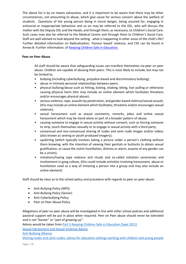The above list is by no means exhaustive, and it is important to be aware that there may be other circumstances, not amounting to abuse, which give cause for serious concern about the welfare of students. Questions of the young person being in moral danger, being uncared for, engaging in antisocial or inappropriate behaviour and so on may be referred to the DSL, who will discuss the matter with the Deputy DSL and the Heads, and through them, as necessary, to Children's Social Care. Such cases may also be referred to the Medical Centre and through them to Children's Social Care. Staff are well advised to look beyond the setting - what is happening in other areas of the child's life? Further detailed information on Radicalisation, 'honour based' violence, and CSE can be found in Annex B: Further information, o[f Keeping Children Safe in Education.](https://assets.publishing.service.gov.uk/government/uploads/system/uploads/attachment_data/file/1014057/KCSIE_2021_September.pdf)

#### **Peer on Peer Abuse**

All staff should be aware that safeguarding issues can manifest themselves via peer on peer abuse. Children are capable of abusing their peers. This is most likely to include, but may not be limited to,

- bullying (including cyberbullying, prejudice-based and discriminatory bullying);
- abuse in intimate personal relationships between peers;
- physical bullying/abuse such as hitting, kicking, shaking, biting, hair pulling or otherwise causing physical harm (this may include an online element which facilitates threatens and/or encourages physical abuse);
- serious violence, rape, assaults by penetration, and gender based violence/sexual assault; (this may include an online element which facilitates, threatens and/or encourages sexual violence);
- sexual harassment such as sexual comments, remarks, jokes and online sexual harassment which may be stand-alone or part of a broader pattern of abuse;
- causing someone to engage in sexual activity without consent, such as forcing someone to strip, touch themselves sexually or to engage in sexual activity with a third party;
- consensual and non-consensual sharing of nudes and semi nude images and/or videos (also known as sexting or youth produced imagery);
- upskirting (which typically involves taking a picture under a person's clothing without them knowing, with the intention of viewing their genitals or buttocks to obtain sexual gratification, or cause the victim humiliation, distress or alarm; anyone of any gender can be a victim);
- initiations/hazing type violence and rituals and so-called initiation ceremonies and involvement in gang culture, (this could include activities involving harassment, abuse or humiliation used as a way of initiating a person into a group and may also include an online element)

Staff should be clear as to the school policy and procedure with regards to peer on peer abuse:

- Anti-Bullying Policy (MPS)
- Anti-Bullying Policy (Senior)
- Anti-Cyberbullying Policy
- Peer on Peer Abuse Policy

Allegations of peer on peer abuse will be investigated in line with other school policies and additional pastoral support will be put in place when required. Peer on Peer abuse should never be tolerated and is not "banter" or "part of growing up".

Advice would be taken from [Part 5 Keeping Children Safe in Education \(Sept 2021\)](https://assets.publishing.service.gov.uk/government/uploads/system/uploads/attachment_data/file/1014057/KCSIE_2021_September.pdf)

[Sexual Harassment and Sexual Violence Advice](https://www.gov.uk/government/uploads/system/uploads/attachment_data/file/667862/Sexual_Harassment_and_Sexual_Violence_-_Advice.pdf)

[Anti-Bullying Alliance](https://www.anti-bullyingalliance.org.uk/)

[Sharing nudes and semi-nudes: advice for education settings working with children and young people](https://www.gov.uk/government/publications/sharing-nudes-and-semi-nudes-advice-for-education-settings-working-with-children-and-young-people/sharing-nudes-and-semi-nudes-advice-for-education-settings-working-with-children-and-young-people)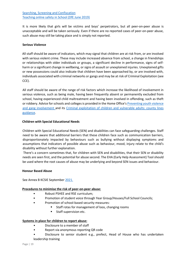It is more likely that girls will be victims and boys' perpetrators, but all peer-on-peer abuse is unacceptable and will be taken seriously. Even if there are no reported cases of peer-on-peer abuse, such abuse may still be taking place and is simply not reported.

#### **Serious Violence**

All staff should be aware of indicators, which may signal that children are at risk from, or are involved with serious violent crime. These may include increased absence from school, a change in friendships or relationships with older individuals or groups, a significant decline in performance, signs of selfharm or a significant change in wellbeing, or signs of assault or unexplained injuries. Unexplained gifts or new possessions could also indicate that children have been approached by, or are involved with, individuals associated with criminal networks or gangs and may be at risk of Criminal Exploitation (see CCE).

All staff should be aware of the range of risk factors which increase the likelihood of involvement in serious violence, such as being male, having been frequently absent or permanently excluded from school, having experienced child maltreatment and having been involved in offending, such as theft or robbery. Advice for schools and colleges is provided in the Home Office's [Preventing youth violence](https://assets.publishing.service.gov.uk/government/uploads/system/uploads/attachment_data/file/418131/Preventing_youth_violence_and_gang_involvement_v3_March2015.pdf)  [and gang involvement](https://assets.publishing.service.gov.uk/government/uploads/system/uploads/attachment_data/file/418131/Preventing_youth_violence_and_gang_involvement_v3_March2015.pdf) and its [Criminal exploitation of children and vulnerable adults: county lines](https://assets.publishing.service.gov.uk/government/uploads/system/uploads/attachment_data/file/741194/HOCountyLinesGuidanceSept2018.pdf) guidance.

#### **Children with Special Educational Needs**

Children with Special Educational Needs (SEN) and disabilities can face safeguarding challenges. Staff need to be aware that additional barriers that these children face such as communication barriers, disproportionately impacted by behaviours such as bullying without displaying symptoms and assumptions that indicators of possible abuse such as behaviour, mood, injury relate to the child's disability without further explanation.

There's a concern sometimes that, for children with SEN and disabilities, that their SEN or disability needs are seen first, and the potential for abuse second. The EHA (Early Help Assessment) Tool should be used where the root causes of abuse may be underlying and beyond SEN issues and behaviour.

#### **Honour Based Abuse**

See Annex B KCSIE September [2021.](https://assets.publishing.service.gov.uk/government/uploads/system/uploads/attachment_data/file/1020050/KCSIE_2021_September_guidance.pdf)

#### **Procedures to minimise the risk of peer-on-peer abuse:**

- Robust PSHEE and RSE curriculum;
- Promotion of student voice through Year Group/Houses/Full School Councils;
- Promotion of school-based security measures:
	- Staff rotas for management of loos, changing rooms
	- Staff supervision etc.

#### **Systems in place for children to report abuse:**

- Disclosure to a member of staff
- Report via anonymous reporting QR code
- Disclosure to senior student e.g., prefect, Head of House who has undertaken leadership training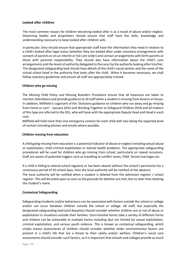#### **Looked after children**

The most common reason for children becoming looked after is as a result of abuse and/or neglect. Governing bodies and proprietors should ensure that staff have the skills, knowledge and understanding necessary to keep looked after children safe.

In particular, they should ensure that appropriate staff have the information they need in relation to a child's looked after legal status (whether they are looked after under voluntary arrangements with consent of parents or on an interim or full care order) and contact arrangements with birth parents or those with parental responsibility. They should also have information about the child's care arrangements and the levels of authority delegated to the carer by the authority looking after him/her. The designated safeguarding lead should have details of the child's social worker and the name of the virtual school head in the authority that looks after the child. When it becomes necessary, we shall follow statutory guidelines and ensure all staff are appropriately trained.

#### **Children who go missing**

The Missing Child Policy and Missing Boarders Procedure ensure that all measures are taken to monitor attendance and provide guidance to all staff when a student is missing from lessons or house. In addition, Millfield is cognisant of the 'Statutory guidance on children who run away and go missing from home or care' - January 2014 and Working Together to Safeguard Children 2018 and all matters of this type are referred to the DSL, who will liaise with the appropriate Deputy Head and Head in each case.

Millfield will hold more than one emergency contact for each child with two being the expected level of contact including phones and emails where possible.

#### **Children missing from education**

A child going missing from education is a potential indicator of abuse or neglect including sexual abuse or exploitation, child criminal exploitation or mental health problems. The appropriate safeguarding procedures will be used for children who go missing from school, particularly on repeat occasions. Staff are aware of potential triggers such as travelling to conflict zones, FGM, forced marriages etc.

If a child is failing to attend school regularly or has been absent without the school's permission for a continuous period of 10 school days, then the local authority will be notified of the absence. The local authority will be notified when a student is deleted from the admission register / school register. This will be acted upon as soon as the grounds for deletion are met, but no later than deleting the student's name.

#### **Contextual Safeguarding**

Safeguarding incidents and/or behaviours can be associated with factors outside the school or college and/or can occur between children outside the school or college. All staff, but especially the designated safeguarding lead (and deputies) should consider whether children are at risk of abuse or exploitation in situations outside their families. Extra-familial harms take a variety of different forms and children can be vulnerable to multiple harms including (but not limited to) sexual exploitation, criminal exploitation, and serious youth violence. This is known as contextual safeguarding, which simply means assessments of children should consider whether wider environmental factors are present in a child's life that are a threat to their safety and/or welfare. Children's social care assessments should consider such factors, so it is important that schools and colleges provide as much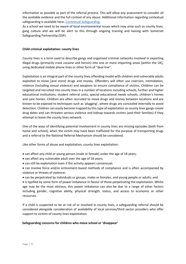information as possible as part of the referral process. This will allow any assessment to consider all the available evidence and the full context of any abuse. Additional information regarding contextual safeguarding is available here[: Contextual Safeguarding.](https://contextualsafeguarding.org.uk/wp-content/uploads/2020/03/A-Legal-Framework-for-Implementing-Contextual-Safeguarding_190320_073228-1.pdf)

As a school we need to be aware of local environmental issues which may arise such as county lines, gang culture and we will be alert to this through ongoing training and liaising with Somerset Safeguarding Partnership (SSP).

#### **Child criminal exploitation: county lines**

County lines is a term used to describe gangs and organised criminal networks involved in exporting illegal drugs (primarily crack cocaine and heroin) into one or more importing areas [within the UK], using dedicated mobile phone lines or other form of "deal line".

Exploitation is an integral part of the county lines offending model with children and vulnerable adults exploited to move [and store] drugs and money. Offenders will often use coercion, intimidation, violence (including sexual violence) and weapons to ensure compliance of victims. Children can be targeted and recruited into county lines in a number of locations including schools, further and higher educational institutions, student referral units, special educational needs schools, children's homes and care homes. Children are often recruited to move drugs and money between locations and are known to be exposed to techniques such as 'plugging', where drugs are concealed internally to avoid detection. Children can easily become trapped by this type of exploitation as county lines gangs create drug debts and can threaten serious violence and kidnap towards victims (and their families) if they attempt to leave the county lines network.

One of the ways of identifying potential involvement in county lines are missing episodes (both from home and school), when the victim may have been trafficked for the purpose of transporting drugs and a referral to the National Referral Mechanism should be considered.

Like other forms of abuse and exploitation, county lines exploitation:

- can affect any child or young person (male or female) under the age of 18 years;
- can affect any vulnerable adult over the age of 18 years;
- can still be exploitation even if the activity appears consensual;
- can involve force and/or enticement-based methods of compliance and is often accompanied by violence or threats of violence;
- can be perpetrated by individuals or groups, males or females, and young people or adults; and

• is typified by some form of power imbalance in favour of those perpetrating the exploitation. Whilst age may be the most obvious, this power imbalance can also be due to a range of other factors including gender, cognitive ability, physical strength, status, and access to economic or other resources.

If a child is suspected to be at risk of or involved in county lines, a safeguarding referral should be considered alongside consideration of availability of local services/third sector providers who offer support to victims of county lines exploitation.

#### **Safeguarding concerns for children who move school or 'disappear'**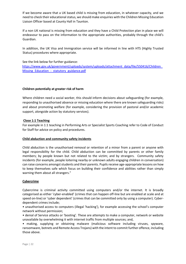If we become aware that a UK based child is missing from education, in whatever capacity, and we need to check their educational status, we should make enquiries with the Children Missing Education Liaison Officer based at County Hall in Taunton.

If a non UK national is missing from education and they have a Child Protection plan in place we will endeavour to pass on the information to the appropriate authorities, probably through the child's Guardian.

In addition, the UK Visa and Immigration service will be informed in line with HTS (Highly Trusted Status) procedures where appropriate.

#### See the link below for further guidance:

[https://www.gov.uk/government/uploads/system/uploads/attachment\\_data/file/550416/Children\\_](https://www.gov.uk/government/uploads/system/uploads/attachment_data/file/550416/Children_Missing_Education_-_statutory_guidance.pdf)  Missing Education - statutory guidance.pdf

#### **Children potentially at greater risk of harm**

Where children need a social worker, this should inform decisions about safeguarding (for example, responding to unauthorised absence or missing education where there are known safeguarding risks) and about promoting welfare (for example, considering the provision of pastoral and/or academic support, alongside action by statutory services).

#### **Close 1:1 Teaching**

For example in 1:1 teaching in Performing Arts or Specialist Sports Coaching refer to Code of Conduct for Staff for advice on policy and procedures.

#### <span id="page-21-0"></span>**Child abduction and community safety incidents**

Child abduction is the unauthorised removal or retention of a minor from a parent or anyone with legal responsibility for the child. Child abduction can be committed by parents or other family members; by people known but not related to the victim; and by strangers. Community safety incidents (for example, people loitering nearby or unknown adults engaging children in conversation) can raise concerns amongst students and their parents. Pupils receive age-appropriate lessons on how to keep themselves safe which focus on building their confidence and abilities rather than simply warning them about all strangers."

#### <span id="page-21-1"></span>**Cybercrime**

Cybercrime is criminal activity committed using computers and/or the internet. It is broadly categorised as either 'cyber-enabled' (crimes that can happen off-line but are enabled at scale and at speed on-line) or 'cyber dependent' (crimes that can be committed only by using a computer). Cyberdependent crimes include;

• unauthorised access to computers (illegal 'hacking'), for example accessing the school's computer network without permission;

• denial of Service attacks or 'booting'. These are attempts to make a computer, network or website unavailable by overwhelming it with internet traffic from multiple sources; and,

• making, supplying or obtaining malware (malicious software including viruses, spyware, ransomware, botnets and Remote Access Trojans) with the intent to commit further offence, including those above.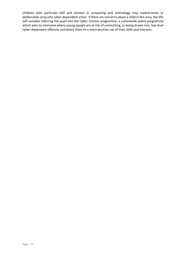Children with particular skill and interest in computing and technology may inadvertently or deliberately stray into cyber-dependent crime. If there are concerns about a child in this area, the DSL will consider referring the pupil into the Cyber Choices programme, a nationwide police programme which aims to intervene where young people are at risk of committing, or being drawn into, low level cyber-dependent offences and divert them to a more positive use of their skills and interests.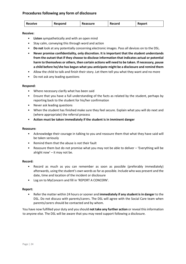## <span id="page-23-0"></span>**Procedures following any form of disclosure**

| <b>Receive</b> | Respond | Reassure | Record | Report |
|----------------|---------|----------|--------|--------|
|                |         |          |        |        |

#### **Receive:**

- **Listen** sympathetically and with an open mind
- Stay calm, conveying this through word and action
- **Do not** look at any potentially concerning electronic images. Pass all devices on to the DSL.
- **Never promise confidentiality, only discretion. It is important that the student understands from the outset that if they choose to disclose information that indicates actual or potential harm to themselves or others, then certain actions will need to be taken. If necessary, pause a child before he/she has begun what you anticipate might be a disclosure and remind them**
- Allow the child to talk and finish their story. Let them tell you what they want and no more
- Do not ask any leading questions

#### **Respond:**

- Where necessary clarify what has been said
- Ensure that you have a full understanding of the facts as related by the student, perhaps by reporting back to the student for his/her confirmation
- Never ask leading questions
- When the student has finished make sure they feel secure. Explain what you will do next and (where appropriate) the referral process
- **Action must be taken immediately if the student is in imminent danger**

#### **Reassure:**

- Acknowledge their courage in talking to you and reassure them that what they have said will be taken seriously
- Remind them that the abuse is not their fault
- Reassure them but do not promise what you may not be able to deliver 'Everything will be alright now' – it may not be.

#### **Record:**

- Record as much as you can remember as soon as possible (preferably immediately) afterwards, using the student's own words as far as possible. Include who was present and the date, time and location of the incident or disclosure
- Log on to MyConcern and fill in 'REPORT A CONCERN'.

#### **Report:**

• Refer the matter within 24 hours or sooner and **immediately if any student is in danger** to the DSL. Do not discuss with parents/carers. The DSL will agree with the Social Care team when parents/carers should be contacted and by whom.

You have now fulfilled your duty and you should **not take any further action** or reveal this information to anyone else. The DSL will be aware that you may need support following a disclosure.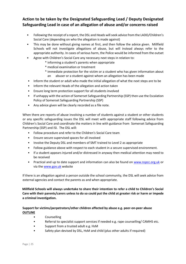# <span id="page-24-0"></span>**Action to be taken by the Designated Safeguarding Lead / Deputy Designated Safeguarding Lead in case of an allegation of abuse and/or concerns raised**

- Following the receipt of a report, the DSL and Heads will seek advice from the LADO*/*Children's Social Care (depending on who the allegation is made against)
- This may be done without giving names at first, and then follow the advice given. Millfield Schools will not investigate allegations of abuse, but will instead always refer to the appropriate authority. In cases of serious harm, the Police would be informed from the outset
- Agree with Children's Social Care any necessary next steps in relation to:
	- \* informing a student's parents when appropriate
	- \* medical examination or treatment
	- \* immediate protection for the victim or a student who has given information about an abuser or a student against whom an allegation has been made
- Inform the student or adult who made the initial allegation of what the next steps are to be
- Inform the relevant Heads of the allegation and action taken
- Ensure long term protection support for all students involved
- If unhappy with the action of Somerset Safeguarding Partnership (SSP) then use the Escalation Policy of Somerset Safeguarding Partnership (SSP)
- Any advice given will be clearly recorded as a file note.

When there are reports of abuse involving a number of students against a student or other students or any specific safeguarding issues the DSL will meet with appropriate staff following advice from Children's Social Care and coordinate the matters in line with guidance from Somerset Safeguarding Partnership (SSP) and ISI. The DSL will:

- Follow procedure and refer to the Children's Social Care team
- Ensure secure supervised spaces for all involved
- Involve the Deputy DSL and members of SMT trained to Level 2 as appropriate
- Follow guidance above with respect to each student in a secure supervised environment.
- If a student appears injured and/or distressed in anyway then medical attention may need to be received
- Practical and up to date support and information can also be found on [www.nspcc.org.uk](http://www.nspcc.org.uk/) or via the [www.gov.uk](http://www.gov.uk/) [w](http://www.gov.uk/)ebsite

If there is an allegation against a person outside the school community, the DSL will seek advice from external agencies and contact the parents as and when appropriate.

**Millfield Schools will always undertake to share their intention to refer a child to Children's Social Care with their parents/carers unless to do so could put the child at greater risk or harm or impede a criminal investigation.** 

## **Support for victims/perpetrators/other children affected by abuse e.g. peer-on-peer abuse OUTLINE**

- Counselling
- Referral to specialist support services if needed e.g. rape counselling/ CAMHS etc.
- Support from a trusted adult e.g. HsM
- Safety plan devised by DSL, HsM and child (plus other adults if required)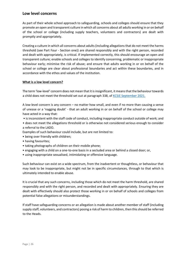## <span id="page-25-0"></span>**Low level concerns**

As part of their whole school approach to safeguarding, schools and colleges should ensure that they promote an open and transparent culture in which all concerns about all adults working in or on behalf of the school or college (including supply teachers, volunteers and contractors) are dealt with promptly and appropriately.

Creating a culture in which all concerns about adults (including allegations that do not meet the harms threshold (see Part Four - Section one)) are shared responsibly and with the right person, recorded and dealt with appropriately, is critical. If implemented correctly, this should encourage an open and transparent culture; enable schools and colleges to identify concerning, problematic or inappropriate behaviour early; minimise the risk of abuse; and ensure that adults working in or on behalf of the school or college are clear about professional boundaries and act within these boundaries, and in accordance with the ethos and values of the institution.

#### **What is a low level concern?**

The term 'low-level' concern does not mean that it is insignificant, it means that the behaviour towards a child does not meet the threshold set out at paragraph 338, of [KCSiE September 2021.](https://assets.publishing.service.gov.uk/government/uploads/system/uploads/attachment_data/file/1020050/KCSIE_2021_September_guidance.pdf)

A low-level concern is any concern – no matter how small, and even if no more than causing a sense of unease or a 'nagging doubt' - that an adult working in or on behalf of the school or college may have acted in a way that:

- is inconsistent with the staff code of conduct, including inappropriate conduct outside of work; and
- does not meet the allegations threshold or is otherwise not considered serious enough to consider a referral to the LADO.
- Examples of such behaviour could include, but are not limited to:
- being over friendly with children;
- having favourites;
- taking photographs of children on their mobile phone;
- engaging with a child on a one-to-one basis in a secluded area or behind a closed door; or,
- using inappropriate sexualised, intimidating or offensive language.

Such behaviour can exist on a wide spectrum, from the inadvertent or thoughtless, or behaviour that may look to be inappropriate, but might not be in specific circumstances, through to that which is ultimately intended to enable abuse.

It is crucial that any such concerns, including those which do not meet the harm threshold, are shared responsibly and with the right person, and recorded and dealt with appropriately. Ensuring they are dealt with effectively should also protect those working in or on behalf of schools and colleges from potential false allegations or misunderstandings.

If staff have safeguarding concerns or an allegation is made about another member of staff (including supply staff, volunteers, and contractors) posing a risk of harm to children, then this should be referred to the Heads.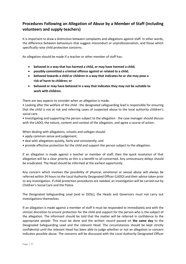# <span id="page-26-0"></span>**Procedures Following an Allegation of Abuse by a Member of Staff (including volunteers and supply teachers)**

It is important to draw a distinction between complaints and allegations against staff. In other words, the difference between behaviours that suggest misconduct or unprofessionalism, and those which specifically raise child protection concerns.

An allegation should be made if a teacher or other member of staff has:

- **behaved in a way that has harmed a child, or may have harmed a child;**
- **possibly committed a criminal offence against or related to a child;**
- **behaved towards a child or children in a way that indicates he or she may pose a risk of harm to children; or**
- **behaved or may have behaved in a way that indicates they may not be suitable to work with children.**

There are two aspects to consider when an allegation is made:

• Looking after the welfare of the child - the designated safeguarding lead is responsible for ensuring that the child is not at risk and referring cases of suspected abuse to the local authority children's social care.

• Investigating and supporting the person subject to the allegation - the case manager should discuss with the LADO, the nature, content and context of the allegation, and agree a course of action.

When dealing with allegations, schools and colleges should:

- apply common sense and judgement;
- deal with allegations quickly, fairly and consistently; and
- provide effective protection for the child and support the person subject to the allegation.

If an allegation is made against a teacher or member of staff, then the quick resolution of that allegation will be a clear priority as this is a benefit to all concerned. Any unnecessary delays should be eradicated. The Head should be informed at the earliest opportunity.

Any concern which involves the possibility of physical, emotional or sexual abuse will always be referred within 24 hours to the Local Authority Designated Officer (LADO) and their advice taken prior to any investigation. If child protection procedures are needed, an investigation will be carried out by Children's Social Care and the Police.

The Designated Safeguarding Lead (and or DDSL), the Heads and Governors must not carry out investigations themselves.

If an allegation is made against a member of staff it must be responded to immediately and with the utmost discretion to ensure protection for the child and support for the person who is the subject of the allegation. The informant should be told that the matter will be referred in confidence to the appropriate people. This must be done and the written record passed on **the same day** to the Designated Safeguarding Lead and the relevant Head. The circumstances should be kept strictly confidential until the relevant Head has been able to judge whether or not an allegation or concern indicates possible abuse. The concerns will be discussed with the Local Authority Designated Officer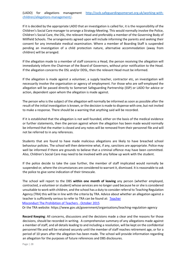(LADO) for allegations management [http://sscb.safeguardingsomerset.org.uk/working-with](http://sscb.safeguardingsomerset.org.uk/working-with-children/allegations-management/)[children/allegations-management/](http://sscb.safeguardingsomerset.org.uk/working-with-children/allegations-management/)**[.](https://slp.somerset.org.uk/sites/somersetlscb/)**

If it is decided by the appropriate LADO that an investigation is called for, it is the responsibility of the Children's Social Care manager to arrange a Strategy Meeting. This would normally involve the Police, Children's Social Care, the DSL, the relevant Head and preferably a member of the Governing Body of Millfield Schools. The arrangements agreed upon will include informing the parents and seeking their consent for any immediate medical examination. Where a member of Boarding Staff is suspended pending an investigation of a child protection nature, alternative accommodation (away from children) will be arranged.

If the allegation made to a member of staff concerns a Head, the person receiving the allegation will immediately inform the Chairman of the Board of Governors, without prior notification to the Head. If the allegation concerns the DSL and/or DDSL, then the relevant Head must be informed.

If the allegation is made against a volunteer, a supply teacher, contractor etc, an investigation will necessarily involve the organisation or agency of employment. For those who are self-employed the allegation will be passed directly to Somerset Safeguarding Partnership (SSP) or LADO for advice or action, dependent upon whom the allegation is made against.

The person who is the subject of the allegation will normally be informed as soon as possible after the result of the initial investigation is known, or the decision is made to dispense with one, but not invited to make a response. There should be a warning that anything said will be recorded.

If it is established that the allegation is not well founded, either on the basis of the medical evidence or further statements, then the person against whom the allegation has been made would normally be informed that the matter is closed and any notes will be removed from their personnel file and will not be referred to in any references.

Students that are found to have made malicious allegations are likely to have breached school behaviour policies. The school will then determine what, if any, sanctions are appropriate. Police may well be informed if there are grounds to believe that a criminal offence may have been committed. Also, Children's Social Care may need to be involved with any follow up work with the student.

If the police decide to take the case further, the member of staff implicated would normally be suspended or, where the circumstances are considered to warrant it, dismissed. It is reasonable to ask the police to give some indication of their timescale.

The school will report to the DBS **within one month of leaving** any person (whether employed, contracted, a volunteer or student) whose services are no longer used because he or she is considered unsuitable to work with children, and the school has a duty to consider referral to Teaching Regulation Agency (TRA) this will be in line with the criteria by TRA. Advice about whether an allegation against a teacher is sufficiently serious to refer to TRA can be found at: [Teacher](https://assets.publishing.service.gov.uk/government/uploads/system/uploads/attachment_data/file/752668/Teacher_misconduct-the_prohibition_of_teachers_.pdf)

[Misconduct The Prohibition of Teachers -](https://www.gov.uk/government/uploads/system/uploads/attachment_data/file/472291/Teacher_Misconduct_The_Prohibition_of_Teachers_advice_updated_31_Oct_2015.pdf) [October 2015](https://www.gov.uk/government/uploads/system/uploads/attachment_data/file/472291/Teacher_Misconduct_The_Prohibition_of_Teachers_advice_updated_31_Oct_2015.pdf)

Or the TRA website: https://www.gov.uk/government/organisations/teaching-regulation-agency

**Record Keeping**: All concerns, discussions and the decisions made a clear and the reasons for those decisions, should be recorded in writing. A comprehensive summary of any allegations made against a member of staff, and all details leading to and including a resolution, will be kept on the confidential personnel file and will be retained securely until the member of staff reaches retirement age, or for a period of 10 years after the allegation has been made. The school will provide information regarding an allegation for the purposes of future references and DBS disclosures.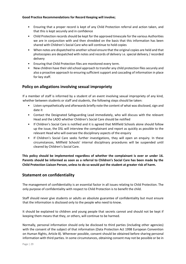#### **Good Practice Recommendations for Record Keeping will involve;**

- Ensuring that a proper record is kept of any Child Protection referral and action taken, and that this is kept securely and in confidence
- Child Protection records should be kept for the approved timescale for the various Authorities we are in conjunction with and then shredded on the basis that this information has been shared with Children's Social Care who will continue to hold copies
- When notes are dispatched to another school ensure that the original copies are held and that photocopies are despatched with notes and records of delivery i.e. special delivery / recorded delivery
- Ensuring that Child Protection files are monitored every term.
- New children have their old school approach to transfer any child protection files securely and also a proactive approach to ensuring sufficient support and cascading of information in place for key staff.

# <span id="page-28-0"></span>**Policy on allegations involving sexual impropriety**

If a member of staff is informed by a student of an event involving sexual impropriety of any kind, whether between students or staff and students, the following steps should be taken:

- Listen sympathetically and afterwards briefly note the content of what was disclosed, sign and date it
- Contact the Designated Safeguarding Lead immediately, who will discuss with the relevant Head and the LADO whether Children's Social Care should be notified
- If Children's Social Care is notified and it is agreed that Millfield Schools alone should follow up the issue, the DSL will interview the complainant and report as quickly as possible to the relevant Head who will oversee the disciplinary aspects of the enquiry
- If Children's Social Care seeks further investigations, they will open an enquiry. In these circumstances, Millfield Schools' internal disciplinary procedures will be suspended until cleared by Children's Social Care.

**This policy should be implemented regardless of whether the complainant is over or under 16. Parents should be informed as soon as a referral to Children's Social Care has been made by the Child Protection Liaison Person, unless to do so would put the student at greater risk of harm.** 

# <span id="page-28-1"></span>**Statement on confidentiality**

The management of confidentiality is an essential factor in all issues relating to Child Protection. The only purpose of confidentiality with respect to Child Protection is to benefit the child.

Staff should never give students or adults an absolute guarantee of confidentiality but must ensure that the information is disclosed only to the people who need to know.

It should be explained to children and young people that secrets cannot and should not be kept if keeping them means that they, or others, will continue to be harmed.

Normally, personal information should only be disclosed to third parties (including other agencies) with the consent of the subject of that information (Data Protection Act 1998 European Convention on Human Rights, Article 8). Wherever possible, consent should be obtained before sharing personal information with third parties. In some circumstances, obtaining consent may not be possible or be in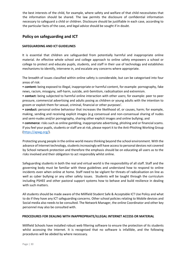the best interests of the child, for example, where safety and welfare of that child necessitates that the information should be shared. The law permits the disclosure of confidential information necessary to safeguard a child or children. Disclosure should be justifiable in each case, according to the particular facts of the case, and legal advice should be sought if in doubt.

# <span id="page-29-0"></span>**Policy on safeguarding and ICT**

## **SAFEGUARDING AND ICT GUIDELINES**

It is essential that children are safeguarded from potentially harmful and inappropriate online material. An effective whole school and college approach to online safety empowers a school or college to protect and educate pupils, students, and staff in their use of technology and establishes mechanisms to identify, intervene in, and escalate any concerns where appropriate.

The breadth of issues classified within online safety is considerable, but can be categorised into four areas of risk:

• **content:** being exposed to illegal, inappropriate or harmful content, for example: pornography, fake news, racism, misogyny, self-harm, suicide, anti-Semitism, radicalisation and extremism.

• **contact:** being subjected to harmful online interaction with other users; for example: peer to peer pressure, commercial advertising and adults posing as children or young adults with the intention to groom or exploit them for sexual, criminal, financial or other purposes'.

• **conduct:** personal online behaviour that increases the likelihood of, or causes, harm; for example, making, sending and receiving explicit images (e.g consensual and non-consensual sharing of nudes and semi-nudes and/or pornography, sharing other explicit images and online bullying; and

• **commerce**: risks such as online gambling, inappropriate advertising, phishing and or financial scams. If you feel your pupils, students or staff are at risk, please report it to the Anti-Phishing Working Group [\(https://apwg.org/\)](https://apwg.org/).

Protecting young people in the online world means thinking beyond the school environment. With the advance of Internet technology, students increasingly will have access to personal devices not covered by School network protection and therefore the emphasis should be on educating all users as to the risks involved and their obligation to act responsibly whilst online.

Safeguarding students in both the real and virtual world is the responsibility of all staff. Staff and the governing body must be familiar with these guidelines and understand how to respond to online incidents even when online at home. Staff need to be vigilant for threats of radicalisation on line as well as cyber bullying or any other safety issues. Students will be taught through the curriculum including PSHEE and other pastoral support systems how to behave and build resilience in dealing with such matters.

All students should be made aware of the Millfield Student Safe & Acceptable ICT Use Polic[y](https://xtranet.millfieldschool.net/Resources/Documents%20%5BFj8%5D/School%20Policies%20%5BFj9%5D/Pupils%20Senior/Pupil%20safe%20and%20acceptable%20ICT%20use%20Policy%20Sept%202017.docx.pdf) and what to do if they have any ICT safeguarding concerns. Other school policies relating to Mobile devices and Social media also needs to be consulted. The Network Manager, the online Coordinator and other key personnel may also be consulted with.

#### **PROCEDURES FOR DEALING WITH INAPPROPRIATE/ILLEGAL INTERNET ACCESS OR MATERIAL**

Millfield Schools have installed robust web filtering software to ensure the protection of its students whilst accessing the Internet. It is recognised that no software is infallible, and the following procedures will be abided by where necessary.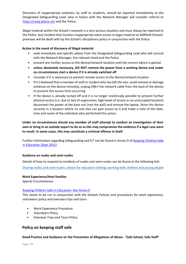Discovery of inappropriate websites, by staff or students, should be reported immediately to the Designated Safeguarding Lead, who in liaison with the Network Manager will consider referral to <https://ceop.police.uk/> and the Police.

Illegal material within the School's network is a very serious situation and must always be reported to the Police. Any incident that involves inappropriate adult access to legal material on Millfield Schools' premises will be dealt with by the School's disciplinary policy in conjunction with the Police.

#### **Action in the event of discovery of illegal material:**

- seek immediate and specific advice from the Designated Safeguarding Lead who will consult with the Network Manager, the relevant Head and the Police
- prevent any further access to the device/network location until the correct advice is gained
- **unless absolutely necessary, DO NOT remove the power from a working device and under no circumstances start a device if it is already switched off**
- Consider if it is necessary to prevent remote access to the device/network location
- If it is believed that a member of staff or student who has left the site, could remove or damage evidence on the device remotely, unplug ONLY the network cable from the back of the device to prevent this access from occurring
- If the device is already turned off and it is no longer realistically possible to prevent further physical access (i.e. due to lack of supervision, high levels of access or an unoccupied location) disconnect the power at the base unit (not the wall) and remove the laptop. Store this device securely in a location where no one else can gain access to it and make a note of the date, time and name of the individual who performed this action.

**Under no circumstances should any member of staff attempt to conduct an investigation of their own or bring in an outside expert to do so as this may compromise the evidence if a legal case were to result. In some cases, this may constitute a criminal offence in itself.** 

Further information regarding Safeguarding and ICT can be found in Annex D [of](https://www.gov.uk/government/uploads/system/uploads/attachment_data/file/550511/Keeping_children_safe_in_education.pdf) Keeping Children Safe [in Education \(Sept 2021\)](https://assets.publishing.service.gov.uk/government/uploads/system/uploads/attachment_data/file/1007260/Keeping_children_safe_in_education_2021.pdf)

#### **Guidance on nudes and semi-nudes**

Details of how to respond to incidents of nudes and semi-nudes can be found at the following link:

[Sharing nudes and semi-nudes: advice for education settings working with children and young people](https://www.gov.uk/government/publications/sharing-nudes-and-semi-nudes-advice-for-education-settings-working-with-children-and-young-people/sharing-nudes-and-semi-nudes-advice-for-education-settings-working-with-children-and-young-people)

**Work Experience/Host families** 

Special Circumstances

#### [Keeping Children Safe in Education-](https://assets.publishing.service.gov.uk/government/uploads/system/uploads/attachment_data/file/1014057/KCSIE_2021_September.pdf) See Annex E

This needs to be run in conjunction with the Schools Policies and procedures for work experience, volunteers policy and overseas trips and tours

- Work Experience Procedur[e](https://xtranet.millfieldschool.net/Resources/Non-Teaching%20%5BFn%5D/Health%20%20Safety%20%5BF7pc%5D/Work%20Experience%20%20Young%20Persons%20at%20Work%20%5BF7vm%5D/HSA%20032%20-%2020150803%20-%20Work%20Experience%20and%20Young%20People%20at%20Work%20Procedure.pdf)
- Volunteers Polic[y](https://xtranet.millfieldschool.net/Resources/Non-Teaching%20%5BFn%5D/Human%20Resources%20%5BFhi%5D/Policies/Volunteers%20policy%2013.pdf)
- Overseas Trips and Tours Polic[y](https://xtranet.millfieldschool.net/Resources/Documents%20%5BFj8%5D/School%20Policies%20%5BFj9%5D/All%20Prep%20School/Staff%20Focused/Tours%20and%20Overnight%20Visits%20Policy.pdf)

# <span id="page-30-0"></span>**Policy on keeping staff safe**

**Good Practice and Guidance on the Prevention of Allegations of Abuse - 'Safe School, Safe Staff'**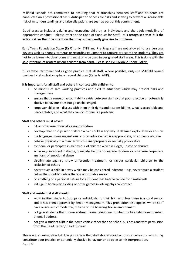Millfield Schools are committed to ensuring that relationships between staff and students are conducted on a professional basis. Anticipation of possible risks and seeking to prevent all reasonable risk of misunderstandings and false allegations are seen as part of this commitment.

Good practice includes valuing and respecting children as individuals and the adult modelling of appropriate conduct – please refer to the Code of Conduct for Staf[f.](https://xtranet.millfieldschool.net/Resources/Pastoral%20%5BFd5%5D/Child%20Protection%20%5BF1n4%5D/Documents/Child%20Protection%20Code%20of%20Conduct%20for%20Staff%20May15.pdf) **It is recognised that it is the action rather than the intention that may subsequently give rise to problems.** 

Early Years Foundation Stage (EYFS) only: EYFS and Pre Prep staff are not allowed to use personal devices such as phones, cameras or recording equipment to capture or record the students. They are not to be taken into classrooms and must only be used in designated staff areas. This is done with the sole intention of protecting our children from harm. Please see EYFS Mobile Phone Policy.

It is always recommended as good practice that all staff, where possible, only use Millfield owned devices to take photographs or record children (Refer to AUP).

#### **It is important for all staff and others in contact with children to:**

- be mindful of safe working practices and alert to situations which may present risks and manage these
- ensure that a sense of accountability exists between staff so that poor practice or potentially abusive behaviour does not go unchallenged
- empower children discuss with them their rights and responsibilities, what is acceptable and unacceptable, and what they can do if there is a problem.

#### **Staff and others must never:**

- hit or otherwise physically assault children
- develop relationships with children which could in any way be deemed exploitative or abusive
- use language, make suggestions or offer advice which is inappropriate, offensive or abusive
- behave physically in a manner which is inappropriate or sexually provocative
- condone, or participate in, behaviour of children which is illegal, unsafe or abusive
- act in ways intended to shame, humiliate, belittle or degrade children, or otherwise perpetrate any form of emotional abuse
- discriminate against, show differential treatment, or favour particular children to the exclusion of others
- never touch a child in a way which may be considered indecent  $-e.g.$  never touch a student below the shoulder unless there is a justifiable reason
- do anything of a personal nature for a student that he/she can do for him/herself
- indulge in horseplay, tickling or other games involving physical contact.

#### **Staff and residential staff should:**

- avoid inviting students (groups or individuals) to their homes unless there is a good reason and it has been approved by Senior Management. This prohibition also applies where staff have onsite accommodation, outside of the boarding house environment
- not give students their home address, home telephone number, mobile telephone number, or email address
- not give a student a lift in their own vehicle other than on school business and with permission from the Headmaster / Headmistress

This is not an exhaustive list. The principle is that staff should avoid actions or behaviour which may constitute poor practice or potentially abusive behaviour or be open to misinterpretation.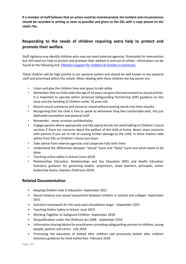**If a member of staff believes that an action could be misinterpreted, the incident and circumstances should be recorded in writing as soon as possible and given to the DSL with a copy placed on the child's file.** 

# <span id="page-32-0"></span>**Responding to the needs of children requiring extra help to protect and promote their welfare**

Staff vigilance may identify children who may not reach external agencies' thresholds for intervention but still need our help to protect and promote their welfare in and out of school. Information can be found at the following link[: Effective Support for Children & Families in Somerset.](http://sscb.safeguardingsomerset.org.uk/effectivesupport-documents/)

These children will be high priority in our pastoral system and should be well known to key pastoral staff and prioritised within the school. When dealing with these children the key points are:

- Listen and give the children time and space to talk safely
- Remember that no child under the age of 16 years can give informed consent to sexual activity. It is important to operate within Somerset Safeguarding Partnership (SSP) guidance on this issue and the handling of children under 16 years old.
- Record actual comments and concerns raised without putting words into their mouths
- Recognising that the child is free to speak to whomever they feel comfortable with, not just dedicated counsellors and pastoral staff
- Remember never promise confidentiality
- Engage parents where appropriate and talk openly but do not avoid talking to Children's Social services if there are concerns about the welfare of the child at home. Never share concerns with parents if you are at risk of causing further damage to the child. In these matters take advice from DSL or Children's Social care team.
- Take advice from external agencies and cooperate fully with them
- Understand the differences between "actual" harm and "likely" harm and what needs to be done
- Teaching online safety in School (June 2019)
- Relationships Education, Relationships and Sex Education (RSE) and Health Education Statutory guidance for governing bodies, proprietors, head teachers, principals, senior leadership teams, teachers (February 2019)

# <span id="page-32-1"></span>**Related Documentation**

- Keeping Children Safe in Education- September 2021
- Sexual violence and sexual harassment between children in schools and colleges- September 2021
- Statutory framework for the early years foundation stage September 2021
- [Teaching Online Safety in School -June 2019](https://assets.publishing.service.gov.uk/government/uploads/system/uploads/attachment_data/file/811796/Teaching_online_safety_in_school.pdf)
- Working Together to Safeguard Children -September 2018
- Disqualification under the Childcare Act 2006 September 2018
- Information sharing Advice for practitioners providing safeguarding services to children, young people, parents and carers - July 2018
- Promoting the education of looked after children and previously looked after children Statutory guidance for local authorities- February 2018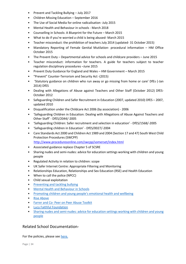- Prevent and Tackling Bullying July 2017
- Children Missing Education September 2016
- The Use of Social Media for online radicalisation -July 2015
- Mental Health and Behaviour in schools March 2018
- Counselling in Schools: A Blueprint for the Future March 2015
- What to do if you're worried a child is being abused- March 2015
- Teacher misconduct: the prohibition of teachers July 2014 (updated- 31 October 2015)
- Mandatory Reporting of Female Genital Mutilation- procedural information HM Office October 2015
- The Prevent Duty Departmental advice for schools and childcare providers June 2015
- Teacher misconduct: information for teachers. A guide for teachers subject to teacher regulation disciplinary procedures –June 2015
- Prevent Duty Guidance for England and Wales HM Government March 2015
- "Prevent" Counter-Terrorism and Security Act -(2015)
- 'Statutory guidance on children who run away or go missing from home or care' DfEs (-Jan 2014) DfES
- Dealing with Allegations of Abuse against Teachers and Other Staff (October 2012) DfES-October 2012
- Safeguarding Children and Safer Recruitment in Education (2007, updated 2010) DfES 2007, updated 2010
- Disqualification under the Childcare Act 2006 (by association) 2006
- 'Safeguarding Children in Education: Dealing with Allegations of Abuse Against Teachers and Other Staff' - DfES/2044/-2005
- 'Safeguarding Children: Safer recruitment and selection in education' DfES/1568/-2005
- 'Safeguarding children in Education' DfES/0027/-2004
- Care Standards Act 2000 and Children Act 1989 and 2004 (Section 17 and 47) South West Child Protection Procedures (SWCPP) <http://www.proceduresonline.com/swcpp/somerset/index.html>
- Associated guidance replace Chapter 5 of SCSRE
- Sharing nudes and semi-nudes: advice for education settings working with children and young
- Regulated Activity in relation to children: scope
- UK Safer Internet Centre: Appropriate Filtering and Monitoring
- Relationships Education, Relationships and Sex Education (RSE) and Health Education
- When to call the police (NPCC)
- Child sexual exploitation
- [Preventing and tackling bullying](https://assets.publishing.service.gov.uk/government/uploads/system/uploads/attachment_data/file/623895/Preventing_and_tackling_bullying_advice.pdf)
- [Mental Health and Behaviour](https://assets.publishing.service.gov.uk/government/uploads/system/uploads/attachment_data/file/755135/Mental_health_and_behaviour_in_schools__.pdf) in Schools
- [Promoting children and young people's emotional health and wellbeing](https://assets.publishing.service.gov.uk/government/uploads/system/uploads/attachment_data/file/414908/Final_EHWB_draft_20_03_15.pdf)
- [Rise Above](https://campaignresources.phe.gov.uk/schools/topics/rise-above/overview)

people

- Farrer and Co- [Peer on Peer Abuse Toolkit](https://www.farrer.co.uk/globalassets/clients-and-sectors/safeguarding/farrer--co-safeguarding-peer-on-peer-abuse-toolkit-2019.pdf)
- [Lucy Faithful Foundation](https://www.lucyfaithfull.org.uk/)
- [Sharing nudes and semi-nudes: advice for education settings working with children and young](https://www.gov.uk/government/publications/sharing-nudes-and-semi-nudes-advice-for-education-settings-working-with-children-and-young-people/sharing-nudes-and-semi-nudes-advice-for-education-settings-working-with-children-and-young-people)  [people](https://www.gov.uk/government/publications/sharing-nudes-and-semi-nudes-advice-for-education-settings-working-with-children-and-young-people/sharing-nudes-and-semi-nudes-advice-for-education-settings-working-with-children-and-young-people)

# Related School Documentation-

For the policies, please se[e here.](https://xtranet.millfieldschool.net/school-policies)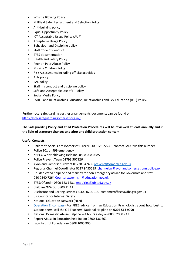- Whistle Blowing Polic[y](https://xtranet.millfieldschool.net/Resources/Documents%20%5BFj8%5D/School%20Policies%20%5BFj9%5D/Staff/Whistle%20Blowing%20Policy.pdf)
- Millfield Safer Recruitment and Selection Polic[y](https://xtranet.millfieldschool.net/Resources/Documents%20%5BFj8%5D/School%20Policies%20%5BFj9%5D/Staff/Safer%20Recruitment%20Policy.pdf)
- Anti-bullying policy
- Equal Opportunity Policy
- ICT Acceptable Usage Policy (AUP)
- Acceptable Usage Policy
- Behaviour and Discipline policy
- Staff Code of Conduct
- EYFS documentation
- Health and Safety Policy
- Peer on Peer Abuse Policy
- Missing Children Policy
- Risk Assessments including off cite activities
- AEN policy
- EAL policy
- Staff misconduct and discipline policy
- Safe and Acceptable Use of IT Policy
- Social Media Policy
- PSHEE and Relationships Education, Relationships and Sex Education (RSE) Policy.

Further local safeguarding partner arrangements documents can be found on <http://sscb.safeguardingsomerset.org.uk/>

## **The Safeguarding Policy and Child Protection Procedures will be reviewed at least annually and in the light of statutory changes and after any child protection concern.**

#### **Useful Contacts:**

- Children's Social Care (Somerset Direct) 0300 123 2224 contact LADO via this number
- Police 101 or 999 emergency
- NSPCC Whistleblowing Helpline 0808 028 0285
- Police Prevent Team 01793 507926
- Avon and Somerset Prevent 01278 647466 [prevent@somerset.gov.uk](mailto:prevent@somerset.gov.uk)
- Regional Channel Coordinator 0117 9455539 channelsw@avonandsomerset.pnn.police.uk
- DfE dedicated helpline and mailbox for non-emergency advice for Governors and staff: 020 7340 7264 Counterextremism@education.gov.uk
- EYFS/Ofsted 0300 123 1231 enquiries@ofsted.gov.uk
- Childline/NSPCC 0800 11 11
- Disclosure and Barring Services 0300 0200 190 customeroffices@dbs.gsi.gov.uk
- UK Council for Internet Safety
- National Education Network (NEN)
- [Operation Encompass-](https://www.operationencompass.org/) For FREE advice from an Education Psychologist about how best to support them, call the OE Teachers' National Helpline on **0204 513 9990**
- National Domestic Abuse Helpline -24 hours a day on 0808 2000 247
- Report Abuse in Education helpline on 0800 136 663
- Lucy Faithful Foundation- 0808 1000 900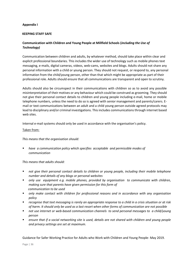## **Appendix I**

#### **KEEPING STAFF SAFE**

## **Communication with Children and Young People at Millfield Schools (***including the Use of Technology)*

Communication between children and adults, by whatever method, should take place within clear and explicit professional boundaries. This includes the wider use of technology such as mobile phones text messaging, e-mails, digital cameras, videos, web-cams, websites and blogs. Adults should not share any personal information with a child or young person. They should not request, or respond to, any personal information from the child/young person, other than that which might be appropriate as part of their professional role. Adults should ensure that all communications are transparent and open to scrutiny.

Adults should also be circumspect in their communications with children so as to avoid any possible misinterpretation of their motives or any behaviour which could be construed as grooming. They should not give their personal contact details to children and young people including e-mail, home or mobile telephone numbers, unless the need to do so is agreed with senior management and parents/carers. Email or text communications between an adult and a child young person outside agreed protocols may lead to disciplinary and/or criminal investigations. This includes communications through internet based web sites.

Internal e-mail systems should only be used in accordance with the organisation's policy.

#### Taken from:

*This means that the organisation should:* 

have a communication policy which specifies acceptable and permissible modes of *communication* 

#### *This means that adults should:*

- *not give their personal contact details to children or young people, including their mobile telephone number and details of any blogs or personal websites*
- *only use equipment e.g. mobile phones, provided by organisation to communicate with children, making sure that parents have given permission for this form of communication to be used*
- only make contact with children for professional reasons and in accordance with any organisation *policy*
- *recognise that text messaging is rarely an appropriate response to a child in a crisis situation or at risk of harm. It should only be used as a last resort when other forms of communication are not possible*
- *not use internet or web-based communication channels to send personal messages to a child/young person*
- ensure that if a social networking site is used, details are not shared with children and young people *and privacy settings are set at maximum.*

Guidance for Safer Working Practice for Adults who Work with Children and Young People- May 2019.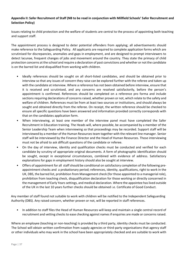## **Appendix II: Safer Recruitment of Staff (NB to be read in conjunction with Millfield Schools' Safer Recruitment and Selection Policy)**

Issues relating to child protection and the welfare of students are central to the process of appointing both teaching and support staff.

The appointment process is designed to deter potential offenders from applying; all advertisements should make reference to the Safeguarding Policy. All applicants are required to complete application forms which are scrutinised for discrepancies, anomalies and gaps in employment, and are designed to prompt interviewers to detect lacunae, frequent changes of jobs and movement around the country. They state the primacy of child protection concerns at the school and require a declaration of past convictions and whether or not the candidate is on the barred list and disqualified from working with children.

- Ideally references should be sought on all short-listed candidates, and should be obtained prior to interview so that any issues of concern they raise can be explored further with the referee and taken up with the candidate at interview. Where a reference has not been obtained before interview, ensure that it is received and scrutinised, and any concerns are resolved satisfactorily, before the person's appointment is confirmed. References should be completed on a reference pro forma and include sections requiring declarations of concerns raised, whether proven or not, which relate to the safety and welfare of children. References must be from at least two sources or institutions, and should always be sought and obtained directly from the referee. On receipt, the written reference should be checked to ensure all specific questions have been answered and information provided correctly corresponds with that on the candidates application form.
- When interviewing, at least one member of the interview panel must have completed the Safer Recruitment in Education training. The Heads will, where possible, be accompanied by a member of the Senior Leadership Team when interviewing so that proceedings may be recorded. Support staff will be interviewed by a member of the Human Resources team together with the relevant line manager. Senior staff will be interviewed by the Finance Director and the Head of Human Resources. Those interviewing must not be afraid to ask difficult questions of the candidate or referee.
- On the day of interview, identity and qualification checks must be conducted and verified for each candidate by scrutiny of appropriate original documents. A form of photographic identification should be sought, except in exceptional circumstances, combined with evidence of address. Satisfactory explanations for gaps in employment history should also be sought at interview.
- Offers of appointment for all staff should be conditional on satisfactory completion of the following preappointment checks and a probationary period; references, identity, qualifications, right to work in the UK, DBS, the barred list, prohibition from Management check (for those appointed to a managerial role), prohibition from teaching check, disqualification declaration for those working or directly concerned in the management of Early Years settings, and medical declaration. Where the appointee has lived outside of the UK in the last 10 years further checks should be obtained i.e. Certificate of Good Conduct.

Any member of staff found not suitable to work with children will be notified to the Independent Safeguarding Authority (DBS). Any raised concern, whether proven or not, will be reported in staff references.

• In addition to staff files the Head of Human Resources will keep and maintain a single central record of recruitment and vetting checks to ease checking against names if enquiries are made or concerns raised.

Where an employee (teaching or non-teaching) is provided by a third party, identity checks must be conducted. The School will obtain written confirmation from supply agencies or third-party organisations that agency staff or other individuals who may work in the school have been appropriately checked and are suitable to work with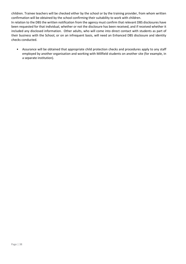children. Trainee teachers will be checked either by the school or by the training provider, from whom written confirmation will be obtained by the school confirming their suitability to work with children. In relation to the DBS the written notification from the agency must confirm that relevant DBS disclosures have been requested for that individual, whether or not the disclosure has been received, and if received whether it included any disclosed information. Other adults, who will come into direct contact with students as part of their business with the School, or on an infrequent basis, will need an Enhanced DBS disclosure and identity checks conducted.

• Assurance will be obtained that appropriate child protection checks and procedures apply to any staff employed by another organisation and working with Millfield students on another site (for example, in a separate institution).